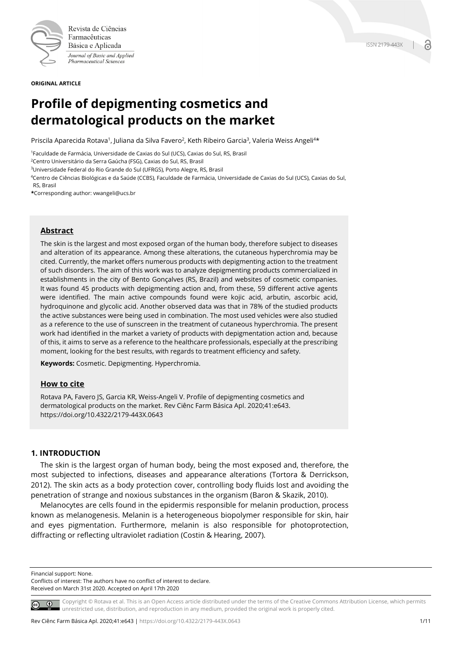

Revista de Ciências Farmacêuticas Básica e Aplicada Journal of Basic and Applied Pharmaceutical Sciences

**ORIGINAL ARTICLE**

# **Profile of depigmenting cosmetics and dermatological products on the market**

Priscila Aparecida Rotava<sup>1</sup>, Juliana da Silva Favero<sup>2</sup>, Keth Ribeiro Garcia<sup>3</sup>, Valeria Weiss Angeli<sup>4\*</sup>

1Faculdade de Farmácia, Universidade de Caxias do Sul (UCS), Caxias do Sul, RS, Brasil

2Centro Universitário da Serra Gaúcha (FSG), Caxias do Sul, RS, Brasil

3Universidade Federal do Rio Grande do Sul (UFRGS), Porto Alegre, RS, Brasil

4Centro de Ciências Biológicas e da Saúde (CCBS), Faculdade de Farmácia, Universidade de Caxias do Sul (UCS), Caxias do Sul, RS, Brasil

**\***Corresponding author: vwangeli@ucs.br

#### **Abstract**

The skin is the largest and most exposed organ of the human body, therefore subject to diseases and alteration of its appearance. Among these alterations, the cutaneous hyperchromia may be cited. Currently, the market offers numerous products with depigmenting action to the treatment of such disorders. The aim of this work was to analyze depigmenting products commercialized in establishments in the city of Bento Gonçalves (RS, Brazil) and websites of cosmetic companies. It was found 45 products with depigmenting action and, from these, 59 different active agents were identified. The main active compounds found were kojic acid, arbutin, ascorbic acid, hydroquinone and glycolic acid. Another observed data was that in 78% of the studied products the active substances were being used in combination. The most used vehicles were also studied as a reference to the use of sunscreen in the treatment of cutaneous hyperchromia. The present work had identified in the market a variety of products with depigmentation action and, because of this, it aims to serve as a reference to the healthcare professionals, especially at the prescribing moment, looking for the best results, with regards to treatment efficiency and safety.

**Keywords:** Cosmetic. Depigmenting. Hyperchromia.

#### **How to cite**

Rotava PA, Favero JS, Garcia KR, Weiss-Angeli V. Profile of depigmenting cosmetics and dermatological products on the market. Rev Ciênc Farm Básica Apl. 2020;41:e643. https://doi.org/10.4322/2179-443X.0643

# **1. INTRODUCTION**

The skin is the largest organ of human body, being the most exposed and, therefore, the most subjected to infections, diseases and appearance alterations (Tortora & Derrickson, 2012). The skin acts as a body protection cover, controlling body fluids lost and avoiding the penetration of strange and noxious substances in the organism (Baron & Skazik, 2010).

Melanocytes are cells found in the epidermis responsible for melanin production, process known as melanogenesis. Melanin is a heterogeneous biopolymer responsible for skin, hair and eyes pigmentation. Furthermore, melanin is also responsible for photoprotection, diffracting or reflecting ultraviolet radiation (Costin & Hearing, 2007).

Financial support: None.

Conflicts of interest: The authors have no conflict of interest to declare. Received on March 31st 2020. Accepted on April 17th 2020

Copyright © Rotava et al. This is an Open Access article distributed under the terms of the Creative Commons Attribution License, which permits unrestricted use, distribution, and reproduction in any medium, provided the original work is properly cited.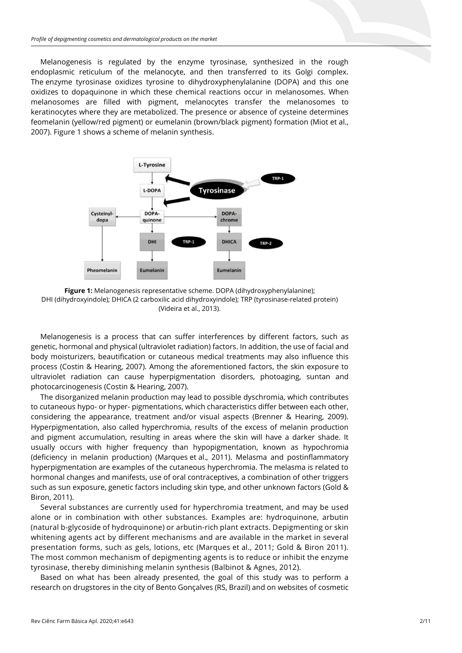Melanogenesis is regulated by the enzyme tyrosinase, synthesized in the rough endoplasmic reticulum of the melanocyte, and then transferred to its Golgi complex. The enzyme tyrosinase oxidizes tyrosine to dihydroxyphenylalanine (DOPA) and this one oxidizes to dopaquinone in which these chemical reactions occur in melanosomes. When melanosomes are filled with pigment, melanocytes transfer the melanosomes to keratinocytes where they are metabolized. The presence or absence of cysteine determines feomelanin (yellow/red pigment) or eumelanin (brown/black pigment) formation (Miot et al., 2007). Figure 1 shows a scheme of melanin synthesis.



**Figure 1:** Melanogenesis representative scheme. DOPA (dihydroxyphenylalanine); DHI (dihydroxyindole); DHICA (2 carboxilic acid dihydroxyindole); TRP (tyrosinase-related protein) (Videira et al., 2013).

Melanogenesis is a process that can suffer interferences by different factors, such as genetic, hormonal and physical (ultraviolet radiation) factors. In addition, the use of facial and body moisturizers, beautification or cutaneous medical treatments may also influence this process (Costin & Hearing, 2007). Among the aforementioned factors, the skin exposure to ultraviolet radiation can cause hyperpigmentation disorders, photoaging, suntan and photocarcinogenesis (Costin & Hearing, 2007).

The disorganized melanin production may lead to possible dyschromia, which contributes to cutaneous hypo- or hyper- pigmentations, which characteristics differ between each other, considering the appearance, treatment and/or visual aspects (Brenner & Hearing, 2009). Hyperpigmentation, also called hyperchromia, results of the excess of melanin production and pigment accumulation, resulting in areas where the skin will have a darker shade. It usually occurs with higher frequency than hypopigmentation, known as hypochromia (deficiency in melanin production) (Marques et al., 2011). Melasma and postinflammatory hyperpigmentation are examples of the cutaneous hyperchromia. The melasma is related to hormonal changes and manifests, use of oral contraceptives, a combination of other triggers such as sun exposure, genetic factors including skin type, and other unknown factors (Gold & Biron, 2011).

Several substances are currently used for hyperchromia treatment, and may be used alone or in combination with other substances. Examples are: hydroquinone, arbutin (natural b-glycoside of hydroquinone) or arbutin-rich plant extracts. Depigmenting or skin whitening agents act by different mechanisms and are available in the market in several presentation forms, such as gels, lotions, etc (Marques et al., 2011; Gold & Biron 2011). The most common mechanism of depigmenting agents is to reduce or inhibit the enzyme tyrosinase, thereby diminishing melanin synthesis (Balbinot & Agnes, 2012).

Based on what has been already presented, the goal of this study was to perform a research on drugstores in the city of Bento Gonçalves (RS, Brazil) and on websites of cosmetic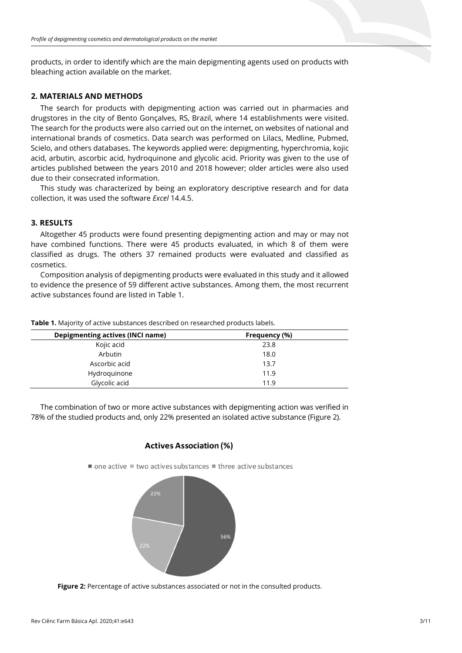products, in order to identify which are the main depigmenting agents used on products with bleaching action available on the market.

# **2. MATERIALS AND METHODS**

The search for products with depigmenting action was carried out in pharmacies and drugstores in the city of Bento Gonçalves, RS, Brazil, where 14 establishments were visited. The search for the products were also carried out on the internet, on websites of national and international brands of cosmetics. Data search was performed on Lilacs, Medline, Pubmed, Scielo, and others databases. The keywords applied were: depigmenting, hyperchromia, kojic acid, arbutin, ascorbic acid, hydroquinone and glycolic acid. Priority was given to the use of articles published between the years 2010 and 2018 however; older articles were also used due to their consecrated information.

This study was characterized by being an exploratory descriptive research and for data collection, it was used the software *Excel* 14.4.5.

# **3. RESULTS**

Altogether 45 products were found presenting depigmenting action and may or may not have combined functions. There were 45 products evaluated, in which 8 of them were classified as drugs. The others 37 remained products were evaluated and classified as cosmetics.

Composition analysis of depigmenting products were evaluated in this study and it allowed to evidence the presence of 59 different active substances. Among them, the most recurrent active substances found are listed in Table 1.

| Depigmenting actives (INCI name) | Frequency (%) |  |
|----------------------------------|---------------|--|
| Kojic acid                       | 23.8          |  |
| Arbutin                          | 18.0          |  |
| Ascorbic acid                    | 13.7          |  |
| Hydroquinone                     | 11.9          |  |
| Glycolic acid                    | 11.9          |  |
|                                  |               |  |

**Table 1.** Majority of active substances described on researched products labels.

The combination of two or more active substances with depigmenting action was verified in 78% of the studied products and, only 22% presented an isolated active substance (Figure 2).

# **Actives Association (%)**

 $\blacksquare$  one active  $\blacksquare$  two actives substances  $\blacksquare$  three active substances



Figure 2: Percentage of active substances associated or not in the consulted products.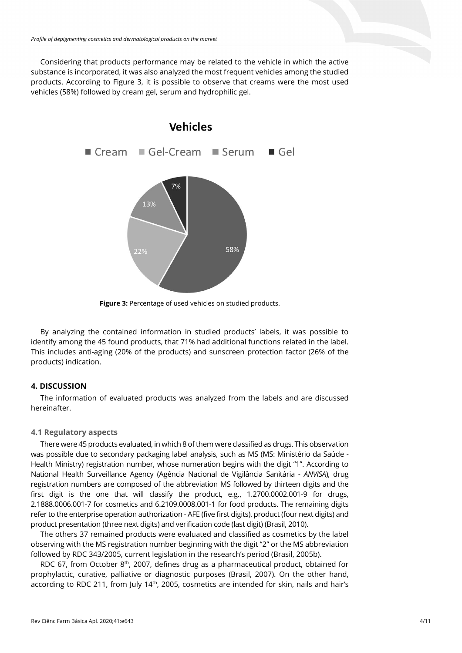Considering that products performance may be related to the vehicle in which the active substance is incorporated, it was also analyzed the most frequent vehicles among the studied products. According to Figure 3, it is possible to observe that creams were the most used vehicles (58%) followed by cream gel, serum and hydrophilic gel.



Figure 3: Percentage of used vehicles on studied products.

By analyzing the contained information in studied products' labels, it was possible to identify among the 45 found products, that 71% had additional functions related in the label. This includes anti-aging (20% of the products) and sunscreen protection factor (26% of the products) indication.

# **4. DISCUSSION**

The information of evaluated products was analyzed from the labels and are discussed hereinafter.

# **4.1 Regulatory aspects**

There were 45 products evaluated, in which 8 of them were classified as drugs. This observation was possible due to secondary packaging label analysis, such as MS (MS: Ministério da Saúde - Health Ministry) registration number, whose numeration begins with the digit "1". According to National Health Surveillance Agency (Agência Nacional de Vigilância Sanitária *- ANVISA*), drug registration numbers are composed of the abbreviation MS followed by thirteen digits and the first digit is the one that will classify the product, e.g., 1.2700.0002.001-9 for drugs, 2.1888.0006.001-7 for cosmetics and 6.2109.0008.001-1 for food products. The remaining digits refer to the enterprise operation authorization - AFE (five first digits), product (four next digits) and product presentation (three next digits) and verification code (last digit) (Brasil, 2010).

The others 37 remained products were evaluated and classified as cosmetics by the label observing with the MS registration number beginning with the digit "2" or the MS abbreviation followed by RDC 343/2005, current legislation in the research's period (Brasil, 2005b).

RDC 67, from October  $8<sup>th</sup>$ , 2007, defines drug as a pharmaceutical product, obtained for prophylactic, curative, palliative or diagnostic purposes (Brasil, 2007). On the other hand, according to RDC 211, from July 14<sup>th</sup>, 2005, cosmetics are intended for skin, nails and hair's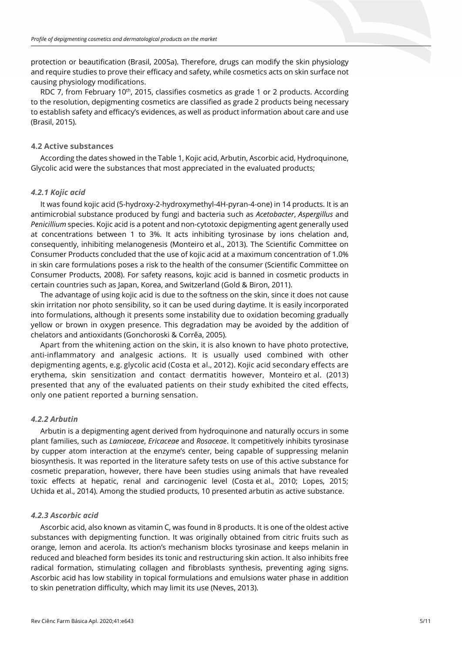protection or beautification (Brasil, 2005a). Therefore, drugs can modify the skin physiology and require studies to prove their efficacy and safety, while cosmetics acts on skin surface not causing physiology modifications.

RDC 7, from February 10<sup>th</sup>, 2015, classifies cosmetics as grade 1 or 2 products. According to the resolution, depigmenting cosmetics are classified as grade 2 products being necessary to establish safety and efficacy's evidences, as well as product information about care and use (Brasil, 2015).

# **4.2 Active substances**

According the dates showed in the Table 1, Kojic acid, Arbutin, Ascorbic acid, Hydroquinone, Glycolic acid were the substances that most appreciated in the evaluated products;

#### *4.2.1 Kojic acid*

It was found kojic acid (5-hydroxy-2-hydroxymethyl-4H-pyran-4-one) in 14 products. It is an antimicrobial substance produced by fungi and bacteria such as *Acetobacter*, *Aspergillus* and *Penicillium* species. Kojic acid is a potent and non-cytotoxic depigmenting agent generally used at concentrations between 1 to 3%. It acts inhibiting tyrosinase by ions chelation and, consequently, inhibiting melanogenesis (Monteiro et al., 2013). The Scientific Committee on Consumer Products concluded that the use of kojic acid at a maximum concentration of 1.0% in skin care formulations poses a risk to the health of the consumer (Scientific Committee on Consumer Products, 2008). For safety reasons, kojic acid is banned in cosmetic products in certain countries such as Japan, Korea, and Switzerland (Gold & Biron, 2011).

The advantage of using kojic acid is due to the softness on the skin, since it does not cause skin irritation nor photo sensibility, so it can be used during daytime. It is easily incorporated into formulations, although it presents some instability due to oxidation becoming gradually yellow or brown in oxygen presence. This degradation may be avoided by the addition of chelators and antioxidants (Gonchoroski & Corrêa, 2005).

Apart from the whitening action on the skin, it is also known to have photo protective, anti-inflammatory and analgesic actions. It is usually used combined with other depigmenting agents, e.g. glycolic acid (Costa et al., 2012). Kojic acid secondary effects are erythema, skin sensitization and contact dermatitis however, Monteiro et al. (2013) presented that any of the evaluated patients on their study exhibited the cited effects, only one patient reported a burning sensation.

#### *4.2.2 Arbutin*

Arbutin is a depigmenting agent derived from hydroquinone and naturally occurs in some plant families, such as *Lamiaceae*, *Ericaceae* and *Rosaceae*. It competitively inhibits tyrosinase by cupper atom interaction at the enzyme's center, being capable of suppressing melanin biosynthesis. It was reported in the literature safety tests on use of this active substance for cosmetic preparation, however, there have been studies using animals that have revealed toxic effects at hepatic, renal and carcinogenic level (Costa et al., 2010; Lopes, 2015; Uchida et al., 2014). Among the studied products, 10 presented arbutin as active substance.

#### *4.2.3 Ascorbic acid*

Ascorbic acid, also known as vitamin C, was found in 8 products. It is one of the oldest active substances with depigmenting function. It was originally obtained from citric fruits such as orange, lemon and acerola. Its action's mechanism blocks tyrosinase and keeps melanin in reduced and bleached form besides its tonic and restructuring skin action. It also inhibits free radical formation, stimulating collagen and fibroblasts synthesis, preventing aging signs. Ascorbic acid has low stability in topical formulations and emulsions water phase in addition to skin penetration difficulty, which may limit its use (Neves, 2013).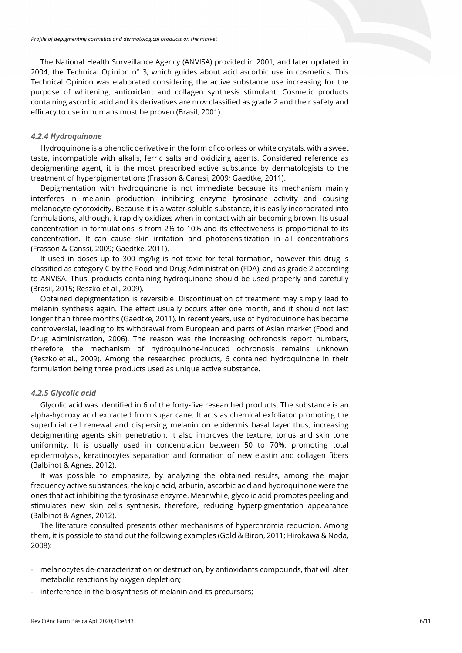The National Health Surveillance Agency (ANVISA) provided in 2001, and later updated in 2004, the Technical Opinion n° 3, which guides about acid ascorbic use in cosmetics. This Technical Opinion was elaborated considering the active substance use increasing for the purpose of whitening, antioxidant and collagen synthesis stimulant. Cosmetic products containing ascorbic acid and its derivatives are now classified as grade 2 and their safety and efficacy to use in humans must be proven (Brasil, 2001).

#### *4.2.4 Hydroquinone*

Hydroquinone is a phenolic derivative in the form of colorless or white crystals, with a sweet taste, incompatible with alkalis, ferric salts and oxidizing agents. Considered reference as depigmenting agent, it is the most prescribed active substance by dermatologists to the treatment of hyperpigmentations (Frasson & Canssi, 2009; Gaedtke, 2011).

Depigmentation with hydroquinone is not immediate because its mechanism mainly interferes in melanin production, inhibiting enzyme tyrosinase activity and causing melanocyte cytotoxicity. Because it is a water-soluble substance, it is easily incorporated into formulations, although, it rapidly oxidizes when in contact with air becoming brown. Its usual concentration in formulations is from 2% to 10% and its effectiveness is proportional to its concentration. It can cause skin irritation and photosensitization in all concentrations (Frasson & Canssi, 2009; Gaedtke, 2011).

If used in doses up to 300 mg/kg is not toxic for fetal formation, however this drug is classified as category C by the Food and Drug Administration (FDA), and as grade 2 according to ANVISA. Thus, products containing hydroquinone should be used properly and carefully (Brasil, 2015; Reszko et al., 2009).

Obtained depigmentation is reversible. Discontinuation of treatment may simply lead to melanin synthesis again. The effect usually occurs after one month, and it should not last longer than three months (Gaedtke, 2011). In recent years, use of hydroquinone has become controversial, leading to its withdrawal from European and parts of Asian market (Food and Drug Administration, 2006). The reason was the increasing ochronosis report numbers, therefore, the mechanism of hydroquinone-induced ochronosis remains unknown (Reszko et al., 2009). Among the researched products, 6 contained hydroquinone in their formulation being three products used as unique active substance.

# *4.2.5 Glycolic acid*

Glycolic acid was identified in 6 of the forty-five researched products. The substance is an alpha-hydroxy acid extracted from sugar cane. It acts as chemical exfoliator promoting the superficial cell renewal and dispersing melanin on epidermis basal layer thus, increasing depigmenting agents skin penetration. It also improves the texture, tonus and skin tone uniformity. It is usually used in concentration between 50 to 70%, promoting total epidermolysis, keratinocytes separation and formation of new elastin and collagen fibers (Balbinot & Agnes, 2012).

It was possible to emphasize, by analyzing the obtained results, among the major frequency active substances, the kojic acid, arbutin, ascorbic acid and hydroquinone were the ones that act inhibiting the tyrosinase enzyme. Meanwhile, glycolic acid promotes peeling and stimulates new skin cells synthesis, therefore, reducing hyperpigmentation appearance (Balbinot & Agnes, 2012).

The literature consulted presents other mechanisms of hyperchromia reduction. Among them, it is possible to stand out the following examples (Gold & Biron, 2011; Hirokawa & Noda, 2008):

- melanocytes de-characterization or destruction, by antioxidants compounds, that will alter metabolic reactions by oxygen depletion;
- interference in the biosynthesis of melanin and its precursors;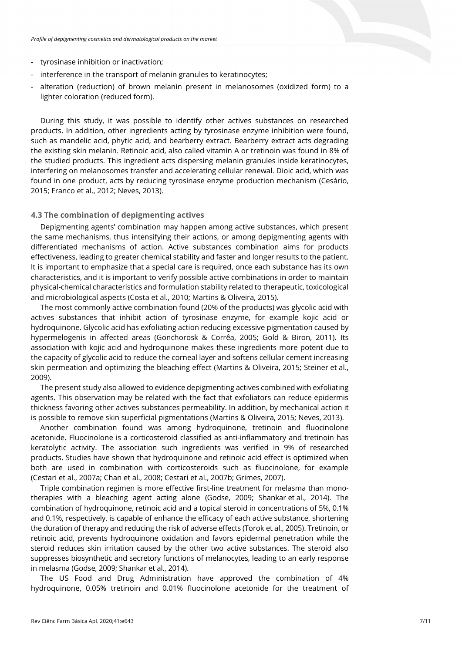- tyrosinase inhibition or inactivation;
- interference in the transport of melanin granules to keratinocytes;
- alteration (reduction) of brown melanin present in melanosomes (oxidized form) to a lighter coloration (reduced form).

During this study, it was possible to identify other actives substances on researched products. In addition, other ingredients acting by tyrosinase enzyme inhibition were found, such as mandelic acid, phytic acid, and bearberry extract. Bearberry extract acts degrading the existing skin melanin. Retinoic acid, also called vitamin A or tretinoin was found in 8% of the studied products. This ingredient acts dispersing melanin granules inside keratinocytes, interfering on melanosomes transfer and accelerating cellular renewal. Dioic acid, which was found in one product, acts by reducing tyrosinase enzyme production mechanism (Cesário, 2015; Franco et al., 2012; Neves, 2013).

# **4.3 The combination of depigmenting actives**

Depigmenting agents' combination may happen among active substances, which present the same mechanisms, thus intensifying their actions, or among depigmenting agents with differentiated mechanisms of action. Active substances combination aims for products effectiveness, leading to greater chemical stability and faster and longer results to the patient. It is important to emphasize that a special care is required, once each substance has its own characteristics, and it is important to verify possible active combinations in order to maintain physical-chemical characteristics and formulation stability related to therapeutic, toxicological and microbiological aspects (Costa et al., 2010; Martins & Oliveira, 2015).

The most commonly active combination found (20% of the products) was glycolic acid with actives substances that inhibit action of tyrosinase enzyme, for example kojic acid or hydroquinone. Glycolic acid has exfoliating action reducing excessive pigmentation caused by hypermelogenis in affected areas (Gonchorosk & Corrêa, 2005; Gold & Biron, 2011). Its association with kojic acid and hydroquinone makes these ingredients more potent due to the capacity of glycolic acid to reduce the corneal layer and softens cellular cement increasing skin permeation and optimizing the bleaching effect (Martins & Oliveira, 2015; Steiner et al., 2009).

The present study also allowed to evidence depigmenting actives combined with exfoliating agents. This observation may be related with the fact that exfoliators can reduce epidermis thickness favoring other actives substances permeability. In addition, by mechanical action it is possible to remove skin superficial pigmentations (Martins & Oliveira, 2015; Neves, 2013).

Another combination found was among hydroquinone, tretinoin and fluocinolone acetonide. Fluocinolone is a corticosteroid classified as anti-inflammatory and tretinoin has keratolytic activity. The association such ingredients was verified in 9% of researched products. Studies have shown that hydroquinone and retinoic acid effect is optimized when both are used in combination with corticosteroids such as fluocinolone, for example (Cestari et al., 2007a; Chan et al., 2008; Cestari et al., 2007b; Grimes, 2007).

Triple combination regimen is more effective first-line treatment for melasma than monotherapies with a bleaching agent acting alone (Godse, 2009; Shankar et al., 2014). The combination of hydroquinone, retinoic acid and a topical steroid in concentrations of 5%, 0.1% and 0.1%, respectively, is capable of enhance the efficacy of each active substance, shortening the duration of therapy and reducing the risk of adverse effects (Torok et al., 2005). Tretinoin, or retinoic acid, prevents hydroquinone oxidation and favors epidermal penetration while the steroid reduces skin irritation caused by the other two active substances. The steroid also suppresses biosynthetic and secretory functions of melanocytes, leading to an early response in melasma (Godse, 2009; Shankar et al., 2014).

The US Food and Drug Administration have approved the combination of 4% hydroquinone, 0.05% tretinoin and 0.01% fluocinolone acetonide for the treatment of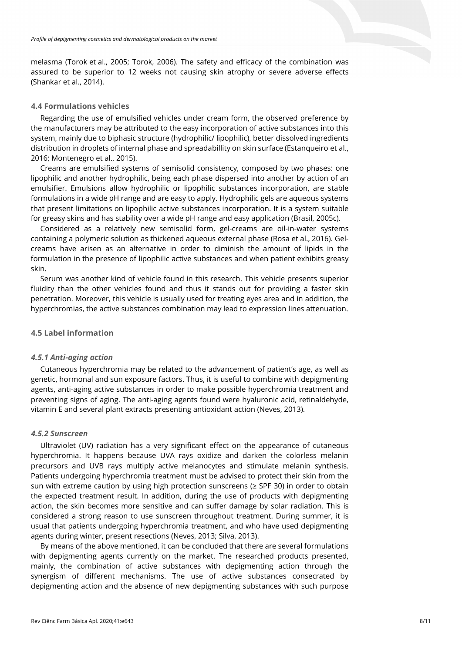melasma (Torok et al., 2005; Torok, 2006). The safety and efficacy of the combination was assured to be superior to 12 weeks not causing skin atrophy or severe adverse effects (Shankar et al., 2014).

# **4.4 Formulations vehicles**

Regarding the use of emulsified vehicles under cream form, the observed preference by the manufacturers may be attributed to the easy incorporation of active substances into this system, mainly due to biphasic structure (hydrophilic/ lipophilic), better dissolved ingredients distribution in droplets of internal phase and spreadabillity on skin surface (Estanqueiro et al., 2016; Montenegro et al., 2015).

Creams are emulsified systems of semisolid consistency, composed by two phases: one lipophilic and another hydrophilic, being each phase dispersed into another by action of an emulsifier. Emulsions allow hydrophilic or lipophilic substances incorporation, are stable formulations in a wide pH range and are easy to apply. Hydrophilic gels are aqueous systems that present limitations on lipophilic active substances incorporation. It is a system suitable for greasy skins and has stability over a wide pH range and easy application (Brasil, 2005c).

Considered as a relatively new semisolid form, gel-creams are oil-in-water systems containing a polymeric solution as thickened aqueous external phase (Rosa et al., 2016). Gelcreams have arisen as an alternative in order to diminish the amount of lipids in the formulation in the presence of lipophilic active substances and when patient exhibits greasy skin.

Serum was another kind of vehicle found in this research. This vehicle presents superior fluidity than the other vehicles found and thus it stands out for providing a faster skin penetration. Moreover, this vehicle is usually used for treating eyes area and in addition, the hyperchromias, the active substances combination may lead to expression lines attenuation.

# **4.5 Label information**

#### *4.5.1 Anti-aging action*

Cutaneous hyperchromia may be related to the advancement of patient's age, as well as genetic, hormonal and sun exposure factors. Thus, it is useful to combine with depigmenting agents, anti-aging active substances in order to make possible hyperchromia treatment and preventing signs of aging. The anti-aging agents found were hyaluronic acid, retinaldehyde, vitamin E and several plant extracts presenting antioxidant action (Neves, 2013).

#### *4.5.2 Sunscreen*

Ultraviolet (UV) radiation has a very significant effect on the appearance of cutaneous hyperchromia. It happens because UVA rays oxidize and darken the colorless melanin precursors and UVB rays multiply active melanocytes and stimulate melanin synthesis. Patients undergoing hyperchromia treatment must be advised to protect their skin from the sun with extreme caution by using high protection sunscreens (≥ SPF 30) in order to obtain the expected treatment result. In addition, during the use of products with depigmenting action, the skin becomes more sensitive and can suffer damage by solar radiation. This is considered a strong reason to use sunscreen throughout treatment. During summer, it is usual that patients undergoing hyperchromia treatment, and who have used depigmenting agents during winter, present resections (Neves, 2013; Silva, 2013).

By means of the above mentioned, it can be concluded that there are several formulations with depigmenting agents currently on the market. The researched products presented, mainly, the combination of active substances with depigmenting action through the synergism of different mechanisms. The use of active substances consecrated by depigmenting action and the absence of new depigmenting substances with such purpose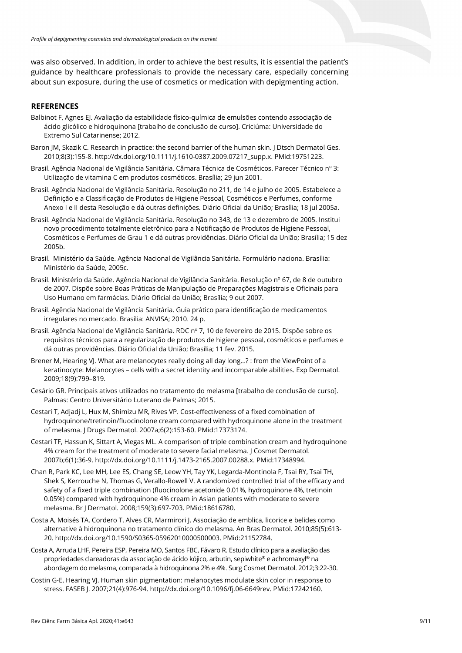was also observed. In addition, in order to achieve the best results, it is essential the patient's guidance by healthcare professionals to provide the necessary care, especially concerning about sun exposure, during the use of cosmetics or medication with depigmenting action.

# **REFERENCES**

- Balbinot F, Agnes EJ. Avaliação da estabilidade físico-química de emulsões contendo associação de ácido glicólico e hidroquinona [trabalho de conclusão de curso]. Criciúma: Universidade do Extremo Sul Catarinense; 2012.
- Baron JM, Skazik C. Research in practice: the second barrier of the human skin. J Dtsch Dermatol Ges. 2010;8(3):155-8[. http://dx.doi.org/10.1111/j.1610-0387.2009.07217\\_supp.x.](https://doi.org/10.1111/j.1610-0387.2009.07217_supp.x) [PMid:19751223.](https://www.ncbi.nlm.nih.gov/entrez/query.fcgi?cmd=Retrieve&db=PubMed&list_uids=19751223&dopt=Abstract)
- Brasil. Agência Nacional de Vigilância Sanitária. Câmara Técnica de Cosméticos. Parecer Técnico nº 3: Utilização de vitamina C em produtos cosméticos. Brasília; 29 jun 2001.
- Brasil. Agência Nacional de Vigilância Sanitária. Resolução no 211, de 14 e julho de 2005. Estabelece a Definição e a Classificação de Produtos de Higiene Pessoal, Cosméticos e Perfumes, conforme Anexo I e II desta Resolução e dá outras definições. Diário Oficial da União; Brasília; 18 jul 2005a.
- Brasil. Agência Nacional de Vigilância Sanitária. Resolução no 343, de 13 e dezembro de 2005. Institui novo procedimento totalmente eletrônico para a Notificação de Produtos de Higiene Pessoal, Cosméticos e Perfumes de Grau 1 e dá outras providências. Diário Oficial da União; Brasília; 15 dez 2005b.
- Brasil. Ministério da Saúde. Agência Nacional de Vigilância Sanitária. Formulário naciona. Brasília: Ministério da Saúde, 2005c.
- Brasil. Ministério da Saúde. Agência Nacional de Vigilância Sanitária. Resolução nº 67, de 8 de outubro de 2007. Dispõe sobre Boas Práticas de Manipulação de Preparações Magistrais e Oficinais para Uso Humano em farmácias. Diário Oficial da União; Brasília; 9 out 2007.
- Brasil. Agência Nacional de Vigilância Sanitária. Guia prático para identificação de medicamentos irregulares no mercado. Brasília: ANVISA; 2010. 24 p.
- Brasil. Agência Nacional de Vigilância Sanitária. RDC nº 7, 10 de fevereiro de 2015. Dispõe sobre os requisitos técnicos para a regularização de produtos de higiene pessoal, cosméticos e perfumes e dá outras providências. Diário Oficial da União; Brasília; 11 fev. 2015.
- Brener M, Hearing VJ. What are melanocytes really doing all day long…? : from the ViewPoint of a keratinocyte: Melanocytes – cells with a secret identity and incomparable abilities. Exp Dermatol. 2009;18(9):799–819.
- Cesário GR. Principais ativos utilizados no tratamento do melasma [trabalho de conclusão de curso]. Palmas: Centro Universitário Luterano de Palmas; 2015.
- Cestari T, Adjadj L, Hux M, Shimizu MR, Rives VP. Cost-effectiveness of a fixed combination of hydroquinone/tretinoin/fluocinolone cream compared with hydroquinone alone in the treatment of melasma. J Drugs Dermatol. 2007a;6(2):153-60. [PMid:17373174.](https://www.ncbi.nlm.nih.gov/entrez/query.fcgi?cmd=Retrieve&db=PubMed&list_uids=17373174&dopt=Abstract)
- Cestari TF, Hassun K, Sittart A, Viegas ML. A comparison of triple combination cream and hydroquinone 4% cream for the treatment of moderate to severe facial melasma. J Cosmet Dermatol. 2007b;6(1):36-9[. http://dx.doi.org/10.1111/j.1473-2165.2007.00288.x.](https://doi.org/10.1111/j.1473-2165.2007.00288.x) [PMid:17348994.](https://www.ncbi.nlm.nih.gov/entrez/query.fcgi?cmd=Retrieve&db=PubMed&list_uids=17348994&dopt=Abstract)
- Chan R, Park KC, Lee MH, Lee ES, Chang SE, Leow YH, Tay YK, Legarda-Montinola F, Tsai RY, Tsai TH, Shek S, Kerrouche N, Thomas G, Verallo-Rowell V. A randomized controlled trial of the efficacy and safety of a fixed triple combination (fluocinolone acetonide 0.01%, hydroquinone 4%, tretinoin 0.05%) compared with hydroquinone 4% cream in Asian patients with moderate to severe melasma. Br J Dermatol. 2008;159(3):697-703. [PMid:18616780.](https://www.ncbi.nlm.nih.gov/entrez/query.fcgi?cmd=Retrieve&db=PubMed&list_uids=18616780&dopt=Abstract)
- Costa A, Moisés TA, Cordero T, Alves CR, Marmirori J. Associação de emblica, licorice e belides como alternative à hidroquinona no tratamento clínico do melasma. An Bras Dermatol. 2010;85(5):613- 20. [http://dx.doi.org/10.1590/S0365-05962010000500003.](https://doi.org/10.1590/S0365-05962010000500003) [PMid:21152784.](https://www.ncbi.nlm.nih.gov/entrez/query.fcgi?cmd=Retrieve&db=PubMed&list_uids=21152784&dopt=Abstract)
- Costa A, Arruda LHF, Pereira ESP, Pereira MO, Santos FBC, Fávaro R. Estudo clínico para a avaliação das propriedades clareadoras da associação de ácido kójico, arbutin, sepiwhite® e achromaxyl® na abordagem do melasma, comparada à hidroquinona 2% e 4%. Surg Cosmet Dermatol. 2012;3:22-30.
- Costin G-E, Hearing VJ. Human skin pigmentation: melanocytes modulate skin color in response to stress. FASEB J. 2007;21(4):976-94[. http://dx.doi.org/10.1096/fj.06-6649rev.](https://doi.org/10.1096/fj.06-6649rev) [PMid:17242160.](https://www.ncbi.nlm.nih.gov/entrez/query.fcgi?cmd=Retrieve&db=PubMed&list_uids=17242160&dopt=Abstract)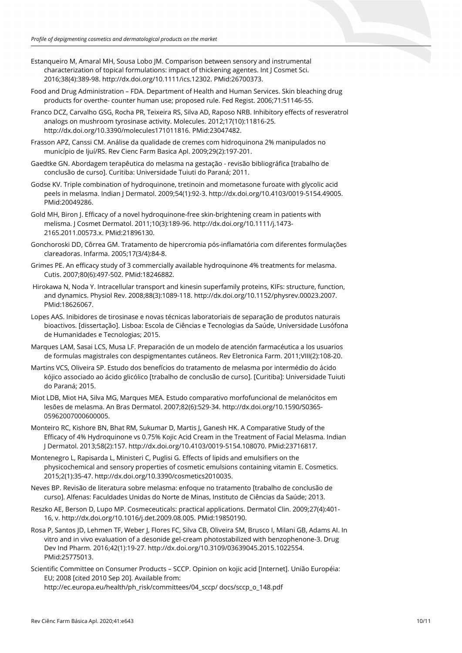- Estanqueiro M, Amaral MH, Sousa Lobo JM. Comparison between sensory and instrumental characterization of topical formulations: impact of thickening agentes. Int J Cosmet Sci. 2016;38(4):389-98. [http://dx.doi.org/10.1111/ics.12302.](https://doi.org/10.1111/ics.12302) [PMid:26700373.](https://www.ncbi.nlm.nih.gov/entrez/query.fcgi?cmd=Retrieve&db=PubMed&list_uids=26700373&dopt=Abstract)
- Food and Drug Administration FDA. Department of Health and Human Services. Skin bleaching drug products for overthe- counter human use; proposed rule. Fed Regist. 2006;71:51146-55.
- Franco DCZ, Carvalho GSG, Rocha PR, Teixeira RS, Silva AD, Raposo NRB. Inhibitory effects of resveratrol analogs on mushroom tyrosinase activity. Molecules. 2012;17(10):11816-25. [http://dx.doi.org/10.3390/molecules171011816.](https://doi.org/10.3390/molecules171011816) [PMid:23047482.](https://www.ncbi.nlm.nih.gov/entrez/query.fcgi?cmd=Retrieve&db=PubMed&list_uids=23047482&dopt=Abstract)
- Frasson APZ, Canssi CM. Análise da qualidade de cremes com hidroquinona 2% manipulados no município de Ijuí/RS. Rev Cienc Farm Basica Apl. 2009;29(2):197-201.
- Gaedtke GN. Abordagem terapêutica do melasma na gestação revisão bibliográfica [trabalho de conclusão de curso]. Curitiba: Universidade Tuiuti do Paraná; 2011.
- Godse KV. Triple combination of hydroquinone, tretinoin and mometasone furoate with glycolic acid peels in melasma. Indian J Dermatol. 2009;54(1):92-3[. http://dx.doi.org/10.4103/0019-5154.49005](https://doi.org/10.4103/0019-5154.49005)[.](https://www.ncbi.nlm.nih.gov/entrez/query.fcgi?cmd=Retrieve&db=PubMed&list_uids=20049286&dopt=Abstract) [PMid:20049286.](https://www.ncbi.nlm.nih.gov/entrez/query.fcgi?cmd=Retrieve&db=PubMed&list_uids=20049286&dopt=Abstract)
- Gold MH, Biron J. Efficacy of a novel hydroquinone-free skin-brightening cream in patients with melisma. J Cosmet Dermatol. 2011;10(3):189-96[. http://dx.doi.org/10.1111/j.1473-](https://doi.org/10.1111/j.1473-2165.2011.00573.x) [2165.2011.00573.x.](https://doi.org/10.1111/j.1473-2165.2011.00573.x) [PMid:21896130.](https://www.ncbi.nlm.nih.gov/entrez/query.fcgi?cmd=Retrieve&db=PubMed&list_uids=21896130&dopt=Abstract)
- Gonchoroski DD, Côrrea GM. Tratamento de hipercromia pós-inflamatória com diferentes formulações clareadoras. Infarma. 2005;17(3/4):84-8.
- Grimes PE. An efficacy study of 3 commercially available hydroquinone 4% treatments for melasma. Cutis. 2007;80(6):497-502. [PMid:18246882.](https://www.ncbi.nlm.nih.gov/entrez/query.fcgi?cmd=Retrieve&db=PubMed&list_uids=18246882&dopt=Abstract)
- Hirokawa N, Noda Y. Intracellular transport and kinesin superfamily proteins, KIFs: structure, function, and dynamics. Physiol Rev. 2008;88(3):1089-118[. http://dx.doi.org/10.1152/physrev.00023.2007](https://doi.org/10.1152/physrev.00023.2007)[.](https://www.ncbi.nlm.nih.gov/entrez/query.fcgi?cmd=Retrieve&db=PubMed&list_uids=18626067&dopt=Abstract) [PMid:18626067.](https://www.ncbi.nlm.nih.gov/entrez/query.fcgi?cmd=Retrieve&db=PubMed&list_uids=18626067&dopt=Abstract)
- Lopes AAS. Inibidores de tirosinase e novas técnicas laboratoriais de separação de produtos naturais bioactivos. [dissertação]. Lisboa: Escola de Ciências e Tecnologias da Saúde, Universidade Lusófona de Humanidades e Tecnologias; 2015.
- Marques LAM, Sasai LCS, Musa LF. Preparación de un modelo de atención farmacéutica a los usuarios de formulas magistrales con despigmentantes cutáneos. Rev Eletronica Farm. 2011;VIII(2):108-20.
- Martins VCS, Oliveira SP. Estudo dos benefícios do tratamento de melasma por intermédio do ácido kójico associado ao ácido glicólico [trabalho de conclusão de curso]. [Curitiba]: Universidade Tuiuti do Paraná; 2015.
- Miot LDB, Miot HA, Silva MG, Marques MEA. Estudo comparativo morfofuncional de melanócitos em lesões de melasma. An Bras Dermatol. 2007;82(6):529-34[. http://dx.doi.org/10.1590/S0365-](https://doi.org/10.1590/S0365-05962007000600005) [05962007000600005.](https://doi.org/10.1590/S0365-05962007000600005)
- Monteiro RC, Kishore BN, Bhat RM, Sukumar D, Martis J, Ganesh HK. A Comparative Study of the Efficacy of 4% Hydroquinone vs 0.75% Kojic Acid Cream in the Treatment of Facial Melasma. Indian J Dermatol. 2013;58(2):157[. http://dx.doi.org/10.4103/0019-5154.108070.](https://doi.org/10.4103/0019-5154.108070) [PMid:23716817.](https://www.ncbi.nlm.nih.gov/entrez/query.fcgi?cmd=Retrieve&db=PubMed&list_uids=23716817&dopt=Abstract)
- Montenegro L, Rapisarda L, Ministeri C, Puglisi G. Effects of lipids and emulsifiers on the physicochemical and sensory properties of cosmetic emulsions containing vitamin E. Cosmetics. 2015;2(1):35-47[. http://dx.doi.org/10.3390/cosmetics2010035.](https://doi.org/10.3390/cosmetics2010035)
- Neves BP. Revisão de literatura sobre melasma: enfoque no tratamento [trabalho de conclusão de curso]. Alfenas: Faculdades Unidas do Norte de Minas, Instituto de Ciências da Saúde; 2013.
- Reszko AE, Berson D, Lupo MP. Cosmeceuticals: practical applications. Dermatol Clin. 2009;27(4):401- 16, v[. http://dx.doi.org/10.1016/j.det.2009.08.005.](https://doi.org/10.1016/j.det.2009.08.005) [PMid:19850190.](https://www.ncbi.nlm.nih.gov/entrez/query.fcgi?cmd=Retrieve&db=PubMed&list_uids=19850190&dopt=Abstract)
- Rosa P, Santos JD, Lehmen TF, Weber J, Flores FC, Silva CB, Oliveira SM, Brusco I, Milani GB, Adams AI. In vitro and in vivo evaluation of a desonide gel-cream photostabilized with benzophenone-3. Drug Dev Ind Pharm. 2016;42(1):19-27[. http://dx.doi.org/10.3109/03639045.2015.1022554](https://doi.org/10.3109/03639045.2015.1022554)[.](https://www.ncbi.nlm.nih.gov/entrez/query.fcgi?cmd=Retrieve&db=PubMed&list_uids=25775013&dopt=Abstract) [PMid:25775013.](https://www.ncbi.nlm.nih.gov/entrez/query.fcgi?cmd=Retrieve&db=PubMed&list_uids=25775013&dopt=Abstract)
- Scientific Committee on Consumer Products SCCP. Opinion on kojic acid [Internet]. União Européia: EU; 2008 [cited 2010 Sep 20]. Available from: http://ec.europa.eu/health/ph\_risk/committees/04\_sccp/ docs/sccp\_o\_148.pdf